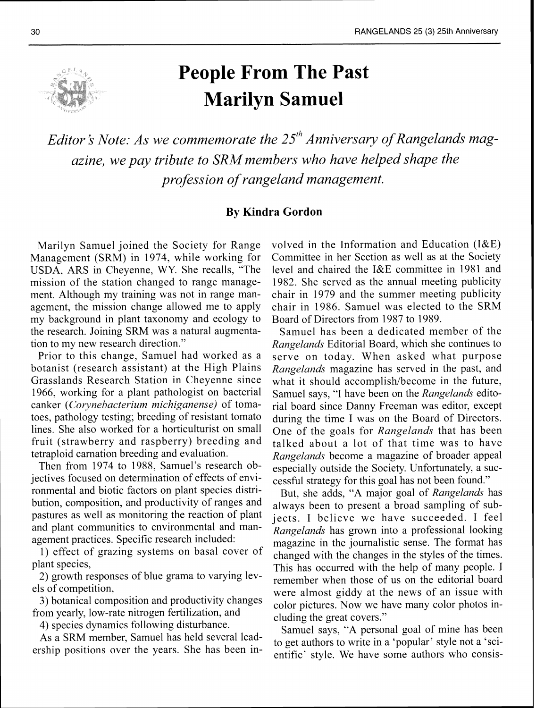

## **People From The Past Marilyn Samuel**

*Editor's Note: As we commemorate the 25<sup>th</sup> Anniversary of Rangelands magazine, we pay tribute to SRM members who have helped shape the profession of rangeland management.* 

## **By Kindra Gordon**

Marilyn Samuel joined the Society for Range Management (SRM) in 1974, while working for USDA, ARS in Cheyenne, WY. She recalls, "The mission of the station changed to range management. Although my training was not in range management, the mission change allowed me to apply my background in plant taxonomy and ecology to the research. Joining SRM was a natural augmentation to my new research direction."

Prior to this change, Samuel had worked as a botanist (research assistant) at the High Plains Grasslands Research Station in Cheyenne since 1966, working for a plant pathologist on bacterial canker (Corynebacterium michiganense) of tomatoes, pathology testing; breeding of resistant tomato lines. She also worked for a horticulturist on small fruit (strawberry and raspberry) breeding and tetraploid carnation breeding and evaluation.

Then from 1974 to 1988, Samuel's research objectives focused on determination of effects of environmental and biotic factors on plant species distribution, composition, and productivity of ranges and pastures as well as monitoring the reaction of plant and plant communities to environmental and management practices. Specific research included:

1) effect of grazing systems on basal cover of plant species,

2) growth responses of blue grama to varying levels of competition,

3) botanical composition and productivity changes from yearly, low-rate nitrogen fertilization, and

4) species dynamics following disturbance.

As a SRM member, Samuel has held several leadership positions over the years. She has been involved in the Information and Education (I&E) Committee in her Section as well as at the Society level and chaired the I&E committee in 1981 and 1982. She served as the annual meeting publicity chair in 1979 and the summer meeting publicity chair in 1986. Samuel was elected to the SRM Board of Directors from 1987 to 1989.

Samuel has been a dedicated member of the Rangelands Editorial Board, which she continues to serve on today. When asked what purpose Rangelands magazine has served in the past, and what it should accomplish/become in the future, Samuel says, "I have been on the Rangelands editorial board since Danny Freeman was editor, except during the time I was on the Board of Directors. One of the goals for Rangelands that has been talked about a lot of that time was to have Rangelands become a magazine of broader appeal especially outside the Society. Unfortunately, a successful strategy for this goal has not been found."

But, she adds, "A major goal of Rangelands has always been to present a broad sampling of subjects. I believe we have succeeded. I feel Rangelands has grown into a professional looking magazine in the journalistic sense. The format has changed with the changes in the styles of the times. This has occurred with the help of many people. I remember when those of us on the editorial board were almost giddy at the news of an issue with color pictures. Now we have many color photos including the great covers."

Samuel says, "A personal goal of mine has been to get authors to write in a 'popular' style not a 'scientific' style. We have some authors who consis